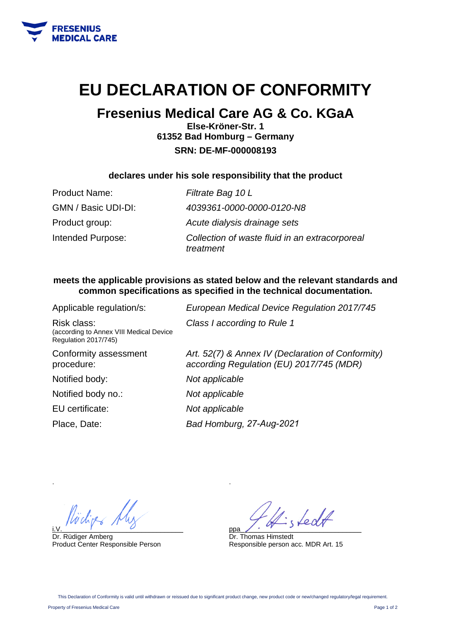

# **EU DECLARATION OF CONFORMITY**

# **Fresenius Medical Care AG & Co. KGaA**

**Else-Kröner-Str. 1 61352 Bad Homburg – Germany SRN: DE-MF-000008193** 

### **declares under his sole responsibility that the product**

| <b>Product Name:</b> | Filtrate Bag 10 L                                           |
|----------------------|-------------------------------------------------------------|
| GMN / Basic UDI-DI:  | 4039361-0000-0000-0120-N8                                   |
| Product group:       | Acute dialysis drainage sets                                |
| Intended Purpose:    | Collection of waste fluid in an extracorporeal<br>treatment |

### **meets the applicable provisions as stated below and the relevant standards and common specifications as specified in the technical documentation.**

| Applicable regulation/s:                                                       | European Medical Device Regulation 2017/745                                                   |
|--------------------------------------------------------------------------------|-----------------------------------------------------------------------------------------------|
| Risk class:<br>(according to Annex VIII Medical Device<br>Regulation 2017/745) | Class I according to Rule 1                                                                   |
| Conformity assessment<br>procedure:                                            | Art. 52(7) & Annex IV (Declaration of Conformity)<br>according Regulation (EU) 2017/745 (MDR) |
| Notified body:                                                                 | Not applicable                                                                                |
| Notified body no.:                                                             | Not applicable                                                                                |
| EU certificate:                                                                | Not applicable                                                                                |
| Place, Date:                                                                   | Bad Homburg, 27-Aug-2021                                                                      |
|                                                                                |                                                                                               |

i.V.  $\overline{U}$ 

Dr. Rüdiger Amberg Product Center Responsible Person

ppa\_\_\_\_\_\_\_\_\_\_\_\_\_\_\_\_\_\_\_\_\_\_\_\_\_\_\_\_\_\_\_\_

Dr. Thomas Himstedt Responsible person acc. MDR Art. 15

.

.